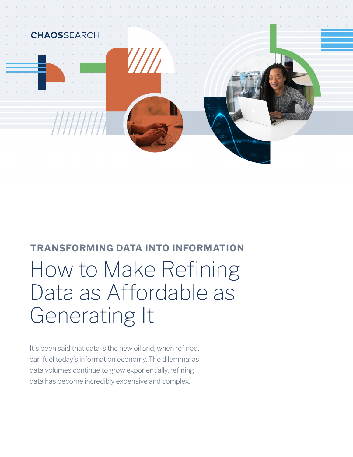

# **TRANSFORMING DATA INTO INFORMATION**  How to Make Refining Data as Affordable as Generating It

It's been said that data is the new oil and, when refined, can fuel today's information economy. The dilemma: as data volumes continue to grow exponentially, refining data has become incredibly expensive and complex.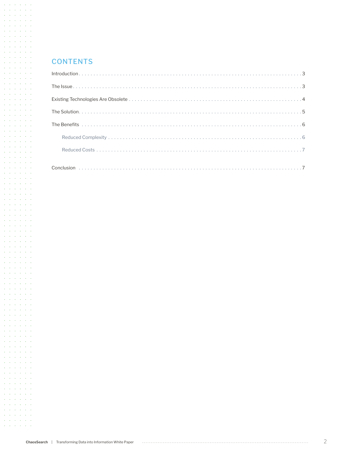#### **CONTENTS**

 $\mathcal{A}$  and  $\mathcal{A}$  are  $\mathcal{A}$  . Then  $\mathcal{A}=\mathcal{A}$  ,  $\mathcal{A}=\mathcal{A}=\mathcal{A}$  ,  $\mathcal{A}=\mathcal{A}$  $\mathcal{A}$  and  $\mathcal{A}$  are  $\mathcal{A}$  and  $\mathcal{A}$ **Service Street**  $\mathcal{L}^{\mathcal{A}}(\mathcal{A})$  ,  $\mathcal{L}^{\mathcal{A}}(\mathcal{A})$  ,  $\mathcal{L}^{\mathcal{A}}(\mathcal{A})$ and a state of the conand a state of the  $\mathcal{L}^{\mathcal{A}}$  ,  $\mathcal{L}^{\mathcal{A}}$  ,  $\mathcal{L}^{\mathcal{A}}$  ,  $\mathcal{L}^{\mathcal{A}}$  ,  $\mathcal{L}^{\mathcal{A}}$ and a state and and a state of the and a state of the state and a state of the and a state and  $\hat{p} = \hat{p} - \hat{p} = \hat{p}$ **Service State**  $\mathcal{A}=\mathcal{A}=\mathcal{A}=\mathcal{A}=\mathcal{A}=\mathcal{A}$ and a state of the and a state of the  $\mathcal{L}^{\mathcal{A}}$  ,  $\mathcal{L}^{\mathcal{A}}$  ,  $\mathcal{L}^{\mathcal{A}}$  ,  $\mathcal{L}^{\mathcal{A}}$  ,  $\mathcal{L}^{\mathcal{A}}$  $\mathcal{L}=\mathcal{L}=\mathcal{L}=\mathcal{L}=\mathcal{L}=\mathcal{L}$ and a state of the and a state of the  $\mathcal{L}^{\mathcal{A}}(\mathcal{A})$  ,  $\mathcal{L}^{\mathcal{A}}(\mathcal{A})$  ,  $\mathcal{L}^{\mathcal{A}}(\mathcal{A})$ the contract of the con- $\Delta\phi$  ,  $\Delta\phi$  ,  $\Delta\phi$  ,  $\Delta\phi$ **Service State**  $\mathcal{L}^{\mathcal{A}}$  ,  $\mathcal{L}^{\mathcal{A}}$  ,  $\mathcal{L}^{\mathcal{A}}$  ,  $\mathcal{L}^{\mathcal{A}}$  ,  $\mathcal{L}^{\mathcal{A}}$  ,  $\mathcal{L}^{\mathcal{A}}$ and a state of the state and a state of the  $\mathcal{A}=\mathcal{A}=\mathcal{A}=\mathcal{A}=\mathcal{A}=\mathcal{A}$  $\mathcal{A}=\mathcal{A}$  , and  $\mathcal{A}=\mathcal{A}$  , and  $\mathcal{L}^{\mathcal{A}}$  ,  $\mathcal{L}^{\mathcal{A}}$  ,  $\mathcal{L}^{\mathcal{A}}$  ,  $\mathcal{L}^{\mathcal{A}}$  ,  $\mathcal{L}^{\mathcal{A}}$ and a state of the  $\mathcal{L}^{\mathcal{A}}(\mathcal{A})$  ,  $\mathcal{L}^{\mathcal{A}}(\mathcal{A})$  ,  $\mathcal{L}^{\mathcal{A}}(\mathcal{A})$ the contract of the conand a state of and a state of the  $\mathcal{A}=\mathcal{A}=\mathcal{A}=\mathcal{A}=\mathcal{A}=\mathcal{A}$  $\mathcal{A}=\mathcal{A}=\mathcal{A}=\mathcal{A}=\mathcal{A}=\mathcal{A}$ **Service Control**  $\mathcal{L}^{\mathcal{A}}$  ,  $\mathcal{L}^{\mathcal{A}}$  ,  $\mathcal{L}^{\mathcal{A}}$  ,  $\mathcal{L}^{\mathcal{A}}$  $\mathcal{A}=\mathcal{A}=\mathcal{A}=\mathcal{A}=\mathcal{A}=\mathcal{A}$  $\mathcal{A}=\mathcal{A}=\mathcal{A}=\mathcal{A}=\mathcal{A}=\mathcal{A}$ **Contractor** Contractor  $\mathcal{A}=\mathcal{A}=\mathcal{A}=\mathcal{A}=\mathcal{A}=\mathcal{A}$  $\Delta$  ,  $\Delta$  ,  $\Delta$  ,  $\Delta$  ,  $\Delta$  ,  $\Delta$  ,  $\Delta$  $\Delta\sim 10^{11}$  and  $\Delta\sim 10^{11}$ **Service Street**  $\mathcal{L}^{\mathcal{A}}(\mathcal{A})$  ,  $\mathcal{L}^{\mathcal{A}}(\mathcal{A})$  ,  $\mathcal{L}^{\mathcal{A}}(\mathcal{A})$ and a state of the  $\mathcal{A}=\mathcal{A}=\mathcal{A}=\mathcal{A}=\mathcal{A}=\mathcal{A}$  $\mathcal{A}=\mathcal{A}=\mathcal{A}=\mathcal{A}=\mathcal{A}=\mathcal{A}$ and a state of the  $\mathcal{A}=\mathcal{A}=\mathcal{A}=\mathcal{A}=\mathcal{A}=\mathcal{A}$ **Service State**  $\mathcal{L} = \mathcal{L} \times \mathcal{L} = \mathcal{L} \times \mathcal{L}$  $\mathcal{A}=\mathcal{A}=\mathcal{A}=\mathcal{A}=\mathcal{A}=\mathcal{A}$  $\mathcal{L}^{\mathcal{A}}$  ,  $\mathcal{L}^{\mathcal{A}}$  ,  $\mathcal{L}^{\mathcal{A}}$  ,  $\mathcal{L}^{\mathcal{A}}$ and a series of  $\mathcal{A}=\mathcal{A}=\mathcal{A}=\mathcal{A}=\mathcal{A}=\mathcal{A}$  $\Delta$  ,  $\Delta$  ,  $\Delta$  ,  $\Delta$  ,  $\Delta$  ,  $\Delta$ and a state of the  $\mathcal{L}^{\mathcal{A}}$  ,  $\mathcal{L}^{\mathcal{A}}$  ,  $\mathcal{L}^{\mathcal{A}}$  ,  $\mathcal{L}^{\mathcal{A}}$  ,  $\mathcal{L}^{\mathcal{A}}$  $\mathcal{A}=\mathcal{A}=\mathcal{A}=\mathcal{A}=\mathcal{A}=\mathcal{A}$  $\Delta \sim 10^{11}$  and  $\Delta \sim 10^{11}$  and **Service State State**  $\mathcal{L}^{\mathcal{A}}$  ,  $\mathcal{L}^{\mathcal{A}}$  ,  $\mathcal{L}^{\mathcal{A}}$  ,  $\mathcal{L}^{\mathcal{A}}$  ,  $\mathcal{L}^{\mathcal{A}}$  $\mathcal{A}=\mathcal{A}=\mathcal{A}=\mathcal{A}=\mathcal{A}=\mathcal{A}$  $\mathcal{A}=\mathcal{A}=\mathcal{A}=\mathcal{A}=\mathcal{A}=\mathcal{A}$ **Service Street**  $\mathcal{A}=\mathcal{A}=\mathcal{A}=\mathcal{A}=\mathcal{A}=\mathcal{A}$  $\mathcal{A}=\mathcal{A}=\mathcal{A}=\mathcal{A}=\mathcal{A}=\mathcal{A}$ and the company  $\mathcal{A}=\mathcal{A}=\mathcal{A}=\mathcal{A}=\mathcal{A}=\mathcal{A}$  $\mathcal{A}=\mathcal{A}$  , and  $\mathcal{A}=\mathcal{A}$  , and  $\mathcal{L}^{\mathcal{A}}$  ,  $\mathcal{L}^{\mathcal{A}}$  ,  $\mathcal{L}^{\mathcal{A}}$  ,  $\mathcal{L}^{\mathcal{A}}$  ,  $\mathcal{L}^{\mathcal{A}}$ and a state of the  $\mathcal{L}^{\mathcal{A}}(\mathcal{A})$  ,  $\mathcal{L}^{\mathcal{A}}(\mathcal{A})$  ,  $\mathcal{L}^{\mathcal{A}}(\mathcal{A})$  $\alpha$  ,  $\alpha$  ,  $\alpha$  ,  $\alpha$  ,  $\alpha$  ,  $\alpha$  $\mathcal{A}=\mathcal{A}=\mathcal{A}=\mathcal{A}=\mathcal{A}=\mathcal{A}$  $\Delta$  ,  $\Delta$  ,  $\Delta$  ,  $\Delta$  ,  $\Delta$  ,  $\Delta$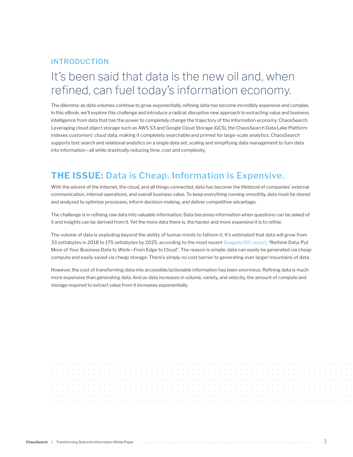## INTRODUCTION

## It's been said that data is the new oil and, when refined, can fuel today's information economy.

The dilemma: as data volumes continue to grow exponentially, refining data has become incredibly expensive and complex. In this eBook, we'll explore this challenge and introduce a radical, disruptive new approach to extracting value and business intelligence from data that has the power to completely change the trajectory of the information economy: ChaosSearch. Leveraging cloud object storage such as AWS S3 and Google Cloud Storage (GCS), the ChaosSearch Data Lake Platform indexes customers' cloud data, making it completely searchable and primed for large-scale analytics. ChaosSearch supports text search and relational analytics on a single data set, scaling and simplifying data management to turn data into information—all while drastically reducing time, cost and complexity.

## **THE ISSUE:** Data is Cheap. Information is Expensive.

With the advent of the Internet, the cloud, and all things connected, data has become the lifeblood of companies' external communication, internal operations, and overall business value. To keep everything running smoothly, data must be stored and analyzed to optimize processes, inform decision-making, and deliver competitive advantage.

The challenge is in refining raw data into valuable information. Data becomes information when questions can be asked of it and insights can be derived from it. Yet the more data there is, the harder and more expensive it is to refine.

The volume of data is exploding beyond the ability of human minds to fathom it. It's estimated that data will grow from 33 zettabytes in 2018 to 175 zettabytes by 2025, according to the most recent [Seagate/IDC report](https://www.seagate.com/our-story/rethink-data/), "Rethink Data: Put More of Your Business Data to Work—From Edge to Cloud". The reason is simple: data can easily be generated via cheap compute and easily saved via cheap storage. There's simply no cost barrier to generating ever larger mountains of data.

However, the cost of transforming data into accessible/actionable information has been enormous. Refining data is much more expensive than generating data. And as data increases in volume, variety, and velocity, the amount of compute and storage required to extract value from it increases exponentially.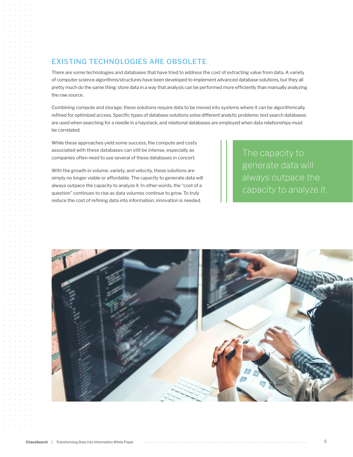### EXISTING TECHNOLOGIES ARE OBSOLETE

There are some technologies and databases that have tried to address the cost of extracting value from data. A variety of computer science algorithms/structures have been developed to implement advanced database solutions, but they all pretty much do the same thing: store data in a way that analysis can be performed more efficiently than manually analyzing the raw source.

Combining compute and storage, these solutions require data to be moved into systems where it can be algorithmically refined for optimized access. Specific types of database solutions solve different analytic problems: text search databases are used when searching for a needle in a haystack, and relational databases are employed when data relationships must be correlated.

While these approaches yield some success, the compute and costs associated with these databases can still be intense, especially as companies often need to use several of these databases in concert.

With the growth in volume, variety, and velocity, these solutions are simply no longer viable or affordable. The capacity to generate data will always outpace the capacity to analyze it. In other words, the "cost of a question" continues to rise as data volumes continue to grow. To truly reduce the cost of refining data into information, innovation is needed.

The capacity to generate data will always outpace the capacity to analyze it.

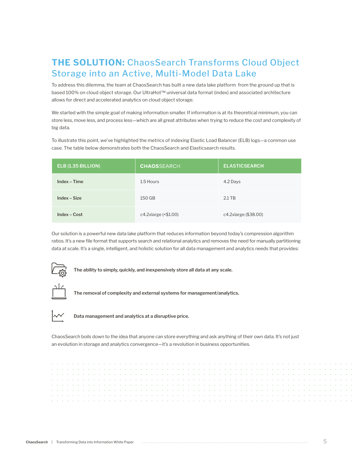## **THE SOLUTION:** ChaosSearch Transforms Cloud Object Storage into an Active, Multi-Model Data Lake

To address this dilemma, the team at ChaosSearch has built a new data lake platform from the ground up that is based 100% on cloud object storage. Our UltraHot™ universal data format (index) and associated architecture allows for direct and accelerated analytics on cloud object storage.

We started with the simple goal of making information smaller. If information is at its theoretical minimum, you can store less, move less, and process less—which are all great attributes when trying to reduce the cost and complexity of big data.

To illustrate this point, we've highlighted the metrics of indexing Elastic Load Balancer (ELB) logs—a common use case. The table below demonstrates both the ChaosSearch and Elasticsearch results.

| ELB (1.35 BILLION) | <b>CHAOS</b> SEARCH  | <b>ELASTICSEARCH</b> |
|--------------------|----------------------|----------------------|
| Index - Time       | 1.5 Hours            | 4.2 Days             |
| Index - Size       | 150 GB               | $2.1$ TB             |
| Index - Cost       | c4.2xlarge (<\$1.00) | c4.2xlarge (\$38.00) |

Our solution is a powerful new data lake platform that reduces information beyond today's compression algorithm ratios. It's a new file format that supports search and relational analytics and removes the need for manually partitioning data at scale. It's a single, intelligent, and holistic solution for all data management and analytics needs that provides:



**The ability to simply, quickly, and inexpensively store all data at any scale.**



**The removal of complexity and external systems for management/analytics.**



**Data management and analytics at a disruptive price.**

ChaosSearch boils down to the idea that anyone can store everything and ask anything of their own data. It's not just an evolution in storage and analytics convergence—it's a revolution in business opportunities.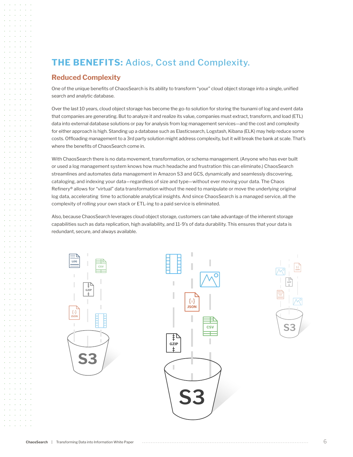## **THE BENEFITS:** Adios, Cost and Complexity.

#### **Reduced Complexity**

One of the unique benefits of ChaosSearch is its ability to transform "your" cloud object storage into a single, unified search and analytic database.

Over the last 10 years, cloud object storage has become the go-to solution for storing the tsunami of log and event data that companies are generating. But to analyze it and realize its value, companies must extract, transform, and load (ETL) data into external database solutions or pay for analysis from log management services—and the cost and complexity for either approach is high. Standing up a database such as Elasticsearch, Logstash, Kibana (ELK) may help reduce some costs. Offloading management to a 3rd party solution might address complexity, but it will break the bank at scale. That's where the benefits of ChaosSearch come in.

With ChaosSearch there is no data movement, transformation, or schema management. (Anyone who has ever built or used a log management system knows how much headache and frustration this can eliminate.) ChaosSearch streamlines and automates data management in Amazon S3 and GCS, dynamically and seamlessly discovering, cataloging, and indexing your data—regardless of size and type—without ever moving your data. The Chaos Refinery® allows for "virtual" data transformation without the need to manipulate or move the underlying original log data, accelerating time to actionable analytical insights. And since ChaosSearch is a managed service, all the complexity of rolling your own stack or ETL-ing to a paid service is eliminated.

Also, because ChaosSearch leverages cloud object storage, customers can take advantage of the inherent storage capabilities such as data replication, high availability, and 11-9's of data durability. This ensures that your data is redundant, secure, and always available.



**S3**

**GZIP**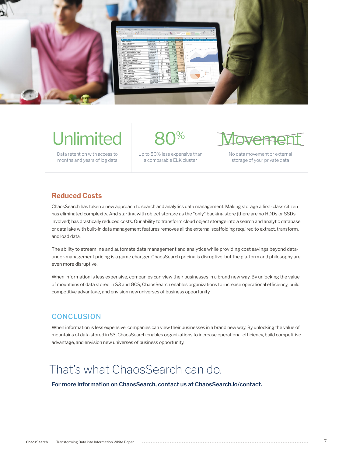

# **Unlimited**

Data retention with access to months and years of log data 80%

Up to 80% less expensive than a comparable ELK cluster

Movement

No data movement or external storage of your private data

### **Reduced Costs**

ChaosSearch has taken a new approach to search and analytics data management. Making storage a first-class citizen has eliminated complexity. And starting with object storage as the "only" backing store (there are no HDDs or SSDs involved) has drastically reduced costs. Our ability to transform cloud object storage into a search and analytic database or data lake with built-in data management features removes all the external scaffolding required to extract, transform, and load data.

The ability to streamline and automate data management and analytics while providing cost savings beyond dataunder-management pricing is a game changer. ChaosSearch pricing is disruptive, but the platform and philosophy are even more disruptive.

When information is less expensive, companies can view their businesses in a brand new way. By unlocking the value of mountains of data stored in S3 and GCS, ChaosSearch enables organizations to increase operational efficiency, build competitive advantage, and envision new universes of business opportunity.

## **CONCLUSION**

When information is less expensive, companies can view their businesses in a brand new way. By unlocking the value of mountains of data stored in S3, ChaosSearch enables organizations to increase operational efficiency, build competitive advantage, and envision new universes of business opportunity.

## That's what ChaosSearch can do.

**For more information on ChaosSearch, contact us at [ChaosSearch.io/contact.](http://ChaosSearch.io/contact)**